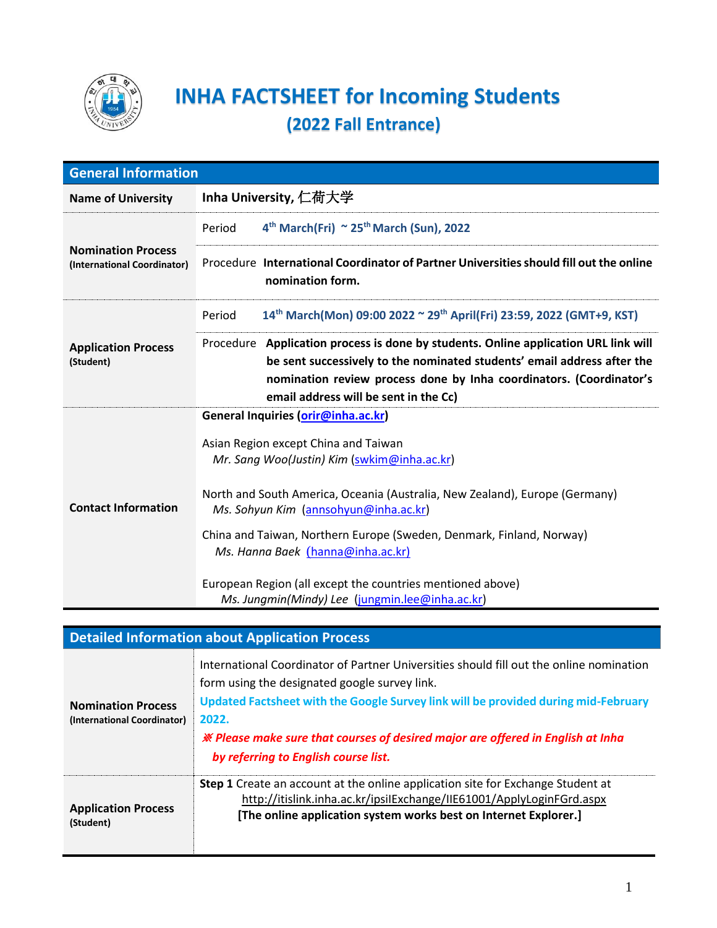

## **INHA FACTSHEET for Incoming Students (2022 Fall Entrance)**

| <b>General Information</b>                               |                                                                                                                                                                                                                                                                                                                                                                                                                                                                                  |
|----------------------------------------------------------|----------------------------------------------------------------------------------------------------------------------------------------------------------------------------------------------------------------------------------------------------------------------------------------------------------------------------------------------------------------------------------------------------------------------------------------------------------------------------------|
| <b>Name of University</b>                                | Inha University, 仁荷大学                                                                                                                                                                                                                                                                                                                                                                                                                                                            |
| <b>Nomination Process</b><br>(International Coordinator) | 4 <sup>th</sup> March(Fri) ~ 25 <sup>th</sup> March (Sun), 2022<br>Period                                                                                                                                                                                                                                                                                                                                                                                                        |
|                                                          | Procedure International Coordinator of Partner Universities should fill out the online<br>nomination form.                                                                                                                                                                                                                                                                                                                                                                       |
| <b>Application Process</b><br>(Student)                  | 14th March(Mon) 09:00 2022 ~ 29th April(Fri) 23:59, 2022 (GMT+9, KST)<br>Period                                                                                                                                                                                                                                                                                                                                                                                                  |
|                                                          | Procedure Application process is done by students. Online application URL link will<br>be sent successively to the nominated students' email address after the<br>nomination review process done by Inha coordinators. (Coordinator's<br>email address will be sent in the Cc)                                                                                                                                                                                                   |
| <b>Contact Information</b>                               | General Inquiries (orir@inha.ac.kr)<br>Asian Region except China and Taiwan<br>Mr. Sang Woo(Justin) Kim (swkim@inha.ac.kr)<br>North and South America, Oceania (Australia, New Zealand), Europe (Germany)<br>Ms. Sohyun Kim (annsohyun@inha.ac.kr)<br>China and Taiwan, Northern Europe (Sweden, Denmark, Finland, Norway)<br>Ms. Hanna Baek (hanna@inha.ac.kr)<br>European Region (all except the countries mentioned above)<br>Ms. Jungmin(Mindy) Lee (jungmin.lee@inha.ac.kr) |

## **Detailed Information about Application Process**

| <b>Nomination Process</b><br>(International Coordinator) | International Coordinator of Partner Universities should fill out the online nomination<br>form using the designated google survey link.<br>Updated Factsheet with the Google Survey link will be provided during mid-February<br>2022.<br><b>※ Please make sure that courses of desired major are offered in English at Inha</b><br>by referring to English course list. |
|----------------------------------------------------------|---------------------------------------------------------------------------------------------------------------------------------------------------------------------------------------------------------------------------------------------------------------------------------------------------------------------------------------------------------------------------|
| <b>Application Process</b><br>(Student)                  | <b>Step 1</b> Create an account at the online application site for Exchange Student at<br>http://itislink.inha.ac.kr/ipsilExchange/IIE61001/ApplyLoginFGrd.aspx<br>[The online application system works best on Internet Explorer.]                                                                                                                                       |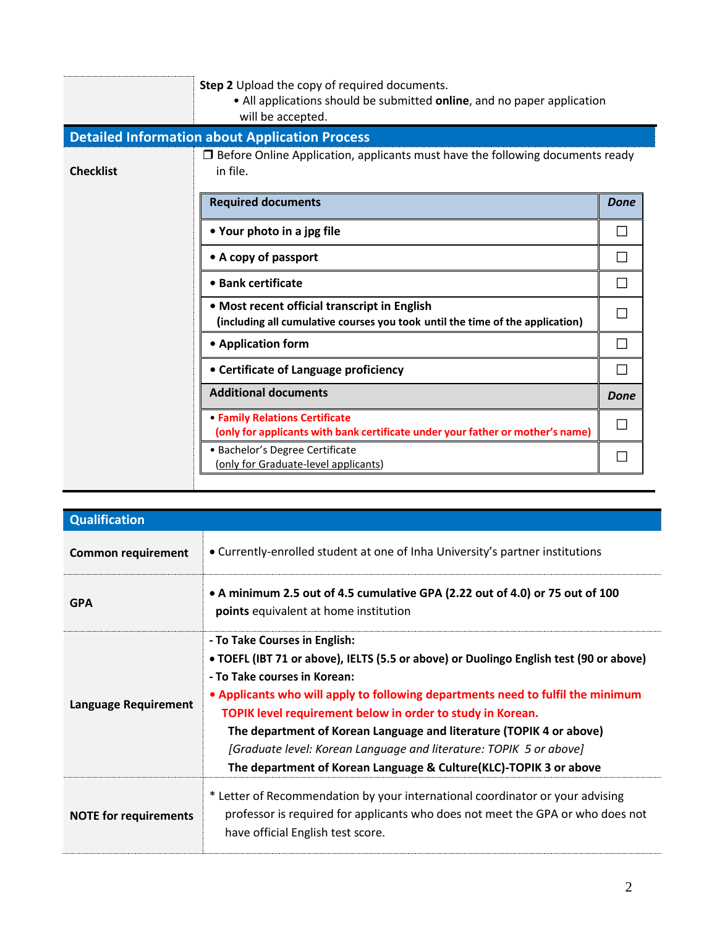|                  | Step 2 Upload the copy of required documents.<br>• All applications should be submitted online, and no paper application<br>will be accepted. |              |
|------------------|-----------------------------------------------------------------------------------------------------------------------------------------------|--------------|
|                  | <b>Detailed Information about Application Process</b>                                                                                         |              |
| <b>Checklist</b> | $\Box$ Before Online Application, applicants must have the following documents ready<br>in file.                                              |              |
|                  | <b>Required documents</b>                                                                                                                     | <b>Done</b>  |
|                  | • Your photo in a jpg file                                                                                                                    | $\mathbf{I}$ |
|                  | • A copy of passport                                                                                                                          | П            |
|                  | • Bank certificate                                                                                                                            | ΙI           |
|                  | • Most recent official transcript in English<br>(including all cumulative courses you took until the time of the application)                 |              |
|                  | • Application form                                                                                                                            | П            |
|                  | • Certificate of Language proficiency                                                                                                         | П            |
|                  | <b>Additional documents</b>                                                                                                                   | Done         |
|                  | • Family Relations Certificate<br>(only for applicants with bank certificate under your father or mother's name)                              | $\Box$       |
|                  | · Bachelor's Degree Certificate<br>(only for Graduate-level applicants)                                                                       | $\Box$       |

| <b>Qualification</b>         |                                                                                                                                                                                                                                                                                                                                                                                                                                                                                                                            |
|------------------------------|----------------------------------------------------------------------------------------------------------------------------------------------------------------------------------------------------------------------------------------------------------------------------------------------------------------------------------------------------------------------------------------------------------------------------------------------------------------------------------------------------------------------------|
| <b>Common requirement</b>    | • Currently-enrolled student at one of Inha University's partner institutions                                                                                                                                                                                                                                                                                                                                                                                                                                              |
| <b>GPA</b>                   | • A minimum 2.5 out of 4.5 cumulative GPA (2.22 out of 4.0) or 75 out of 100<br>points equivalent at home institution                                                                                                                                                                                                                                                                                                                                                                                                      |
| <b>Language Requirement</b>  | - To Take Courses in English:<br>• TOEFL (IBT 71 or above), IELTS (5.5 or above) or Duolingo English test (90 or above)<br>- To Take courses in Korean:<br>• Applicants who will apply to following departments need to fulfil the minimum<br>TOPIK level requirement below in order to study in Korean.<br>The department of Korean Language and literature (TOPIK 4 or above)<br>[Graduate level: Korean Language and literature: TOPIK 5 or above]<br>The department of Korean Language & Culture(KLC)-TOPIK 3 or above |
| <b>NOTE for requirements</b> | * Letter of Recommendation by your international coordinator or your advising<br>professor is required for applicants who does not meet the GPA or who does not<br>have official English test score.                                                                                                                                                                                                                                                                                                                       |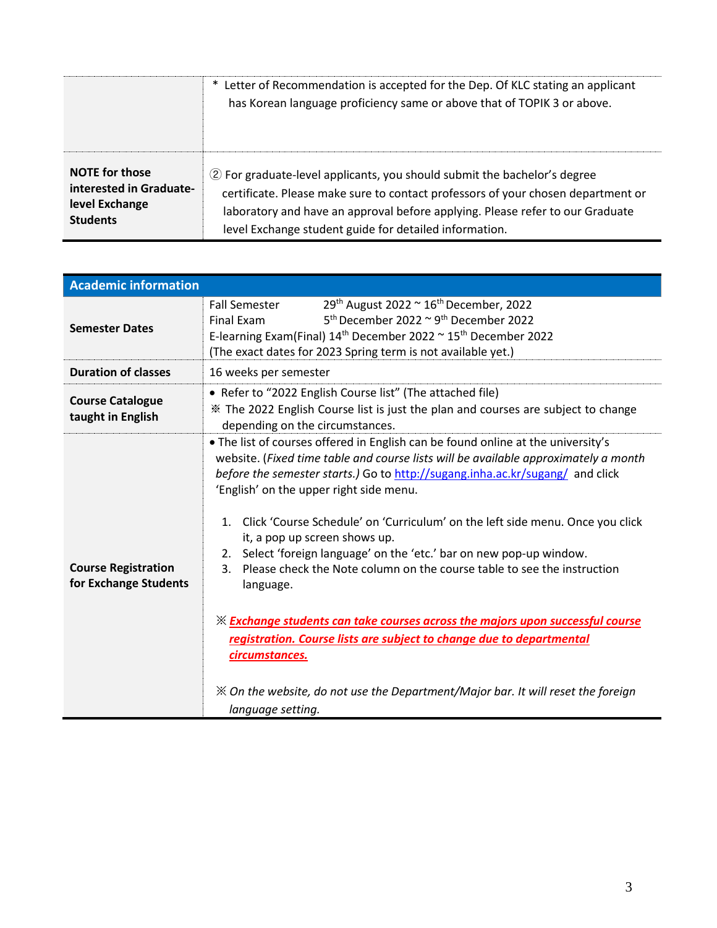|                         | * Letter of Recommendation is accepted for the Dep. Of KLC stating an applicant<br>has Korean language proficiency same or above that of TOPIK 3 or above. |
|-------------------------|------------------------------------------------------------------------------------------------------------------------------------------------------------|
| <b>NOTE</b> for those   | 2 For graduate-level applicants, you should submit the bachelor's degree                                                                                   |
| interested in Graduate- | certificate. Please make sure to contact professors of your chosen department or                                                                           |
| level Exchange          | laboratory and have an approval before applying. Please refer to our Graduate                                                                              |
| <b>Students</b>         | level Exchange student guide for detailed information.                                                                                                     |

| <b>Academic information</b>                         |                                                                                                                                                                                                                                                                                                                                                                                                                                                                                                                                                                                                                                                                                                                                                                                                                                                                                                             |
|-----------------------------------------------------|-------------------------------------------------------------------------------------------------------------------------------------------------------------------------------------------------------------------------------------------------------------------------------------------------------------------------------------------------------------------------------------------------------------------------------------------------------------------------------------------------------------------------------------------------------------------------------------------------------------------------------------------------------------------------------------------------------------------------------------------------------------------------------------------------------------------------------------------------------------------------------------------------------------|
| <b>Semester Dates</b>                               | 29th August 2022 ~ 16th December, 2022<br><b>Fall Semester</b><br>$5th$ December 2022 $\sim$ 9 <sup>th</sup> December 2022<br>Final Exam<br>E-learning Exam(Final) $14^{th}$ December 2022 $\sim$ 15 <sup>th</sup> December 2022<br>(The exact dates for 2023 Spring term is not available yet.)                                                                                                                                                                                                                                                                                                                                                                                                                                                                                                                                                                                                            |
| <b>Duration of classes</b>                          | 16 weeks per semester                                                                                                                                                                                                                                                                                                                                                                                                                                                                                                                                                                                                                                                                                                                                                                                                                                                                                       |
| <b>Course Catalogue</b><br>taught in English        | • Refer to "2022 English Course list" (The attached file)<br>* The 2022 English Course list is just the plan and courses are subject to change<br>depending on the circumstances.                                                                                                                                                                                                                                                                                                                                                                                                                                                                                                                                                                                                                                                                                                                           |
| <b>Course Registration</b><br>for Exchange Students | . The list of courses offered in English can be found online at the university's<br>website. (Fixed time table and course lists will be available approximately a month<br>before the semester starts.) Go to http://sugang.inha.ac.kr/sugang/ and click<br>'English' on the upper right side menu.<br>Click 'Course Schedule' on 'Curriculum' on the left side menu. Once you click<br>$1_{-}$<br>it, a pop up screen shows up.<br>2. Select 'foreign language' on the 'etc.' bar on new pop-up window.<br>Please check the Note column on the course table to see the instruction<br>3.<br>language.<br><b>X Exchange students can take courses across the majors upon successful course</b><br>registration. Course lists are subject to change due to departmental<br>circumstances.<br>$\mathbb X$ On the website, do not use the Department/Major bar. It will reset the foreign<br>language setting. |